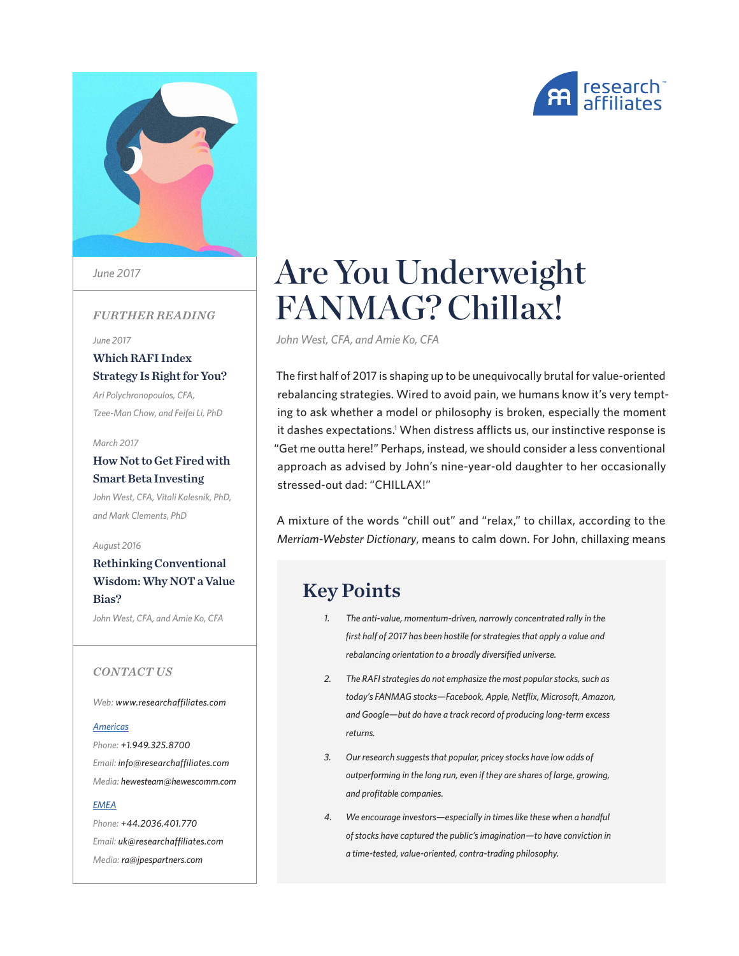



*June 2017*

### *FURTHER READING*

*[June 2017](https://www.researchaffiliates.com/content/ra/na/en_us/publications/articles/616-which-rafi-index-strategy-is-right-for-you.html)*

[Which RAFI Index](https://www.researchaffiliates.com/content/ra/na/en_us/publications/articles/616-which-rafi-index-strategy-is-right-for-you.html)  [Strategy Is Right for You?](https://www.researchaffiliates.com/content/ra/na/en_us/publications/articles/616-which-rafi-index-strategy-is-right-for-you.html) *[Ari Polychronopoulos, CFA,](https://www.researchaffiliates.com/content/ra/na/en_us/publications/articles/616-which-rafi-index-strategy-is-right-for-you.html)  [Tzee-Man Chow, and Feifei Li, PhD](https://www.researchaffiliates.com/content/ra/na/en_us/publications/articles/616-which-rafi-index-strategy-is-right-for-you.html)*

#### *[March 2017](https://www.researchaffiliates.com/content/ra/na/en_us/publications/articles/549-how-not-to-get-fired-with-smart-beta-investing.html)*

[How Not to Get Fired with](https://www.researchaffiliates.com/content/ra/na/en_us/publications/articles/549-how-not-to-get-fired-with-smart-beta-investing.html)  [Smart Beta Investing](https://www.researchaffiliates.com/content/ra/na/en_us/publications/articles/549-how-not-to-get-fired-with-smart-beta-investing.html) *[John West, CFA, Vitali Kalesnik, PhD,](https://www.researchaffiliates.com/content/ra/na/en_us/publications/articles/549-how-not-to-get-fired-with-smart-beta-investing.html)  [and Mark Clements, PhD](https://www.researchaffiliates.com/content/ra/na/en_us/publications/articles/549-how-not-to-get-fired-with-smart-beta-investing.html)*

*[August 2016](https://www.researchaffiliates.com/content/ra/na/en_us/publications/articles/560_rethinking_conventional_wisdom_why_not_a_value_bias.html)*

[Rethinking Conventional](https://www.researchaffiliates.com/content/ra/na/en_us/publications/articles/560_rethinking_conventional_wisdom_why_not_a_value_bias.html)  [Wisdom: Why NOT a Value](https://www.researchaffiliates.com/content/ra/na/en_us/publications/articles/560_rethinking_conventional_wisdom_why_not_a_value_bias.html)  [Bias?](https://www.researchaffiliates.com/content/ra/na/en_us/publications/articles/560_rethinking_conventional_wisdom_why_not_a_value_bias.html)

*[John West, CFA, and Amie Ko, CFA](https://www.researchaffiliates.com/content/ra/na/en_us/publications/articles/560_rethinking_conventional_wisdom_why_not_a_value_bias.html)*

### *CONTACT US*

*Web: www.researchaffiliates.com*

#### *Americas*

*Phone: +1.949.325.8700 Email: info@researchaffiliates.com Media: hewesteam@hewescomm.com*

#### *EMEA*

*Phone: +44.2036.401.770 Email: uk@researchaffiliates.com Media: ra@jpespartners.com*

# Are You Underweight FANMAG? Chillax!

*John West, CFA, and Amie Ko, CFA*

The first half of 2017 is shaping up to be unequivocally brutal for value-oriented rebalancing strategies. Wired to avoid pain, we humans know it's very tempting to ask whether a model or philosophy is broken, especially the moment it dashes expectations.<sup>1</sup> When distress afflicts us, our instinctive response is "Get me outta here!" Perhaps, instead, we should consider a less conventional approach as advised by John's nine-year-old daughter to her occasionally stressed-out dad: "CHILLAX!"

A mixture of the words "chill out" and "relax," to chillax, according to the *Merriam-Webster Dictionary*, means to calm down. For John, chillaxing means

# Key Points

- *1. The anti-value, momentum-driven, narrowly concentrated rally in the first half of 2017 has been hostile for strategies that apply a value and rebalancing orientation to a broadly diversified universe.*
- *2. The RAFI strategies do not emphasize the most popular stocks, such as today's FANMAG stocks—Facebook, Apple, Netflix, Microsoft, Amazon, and Google—but do have a track record of producing long-term excess returns.*
- *3. Our research suggests that popular, pricey stocks have low odds of outperforming in the long run, even if they are shares of large, growing, and profitable companies.*
- *4. We encourage investors—especially in times like these when a handful of stocks have captured the public's imagination—to have conviction in a time-tested, value-oriented, contra-trading philosophy.*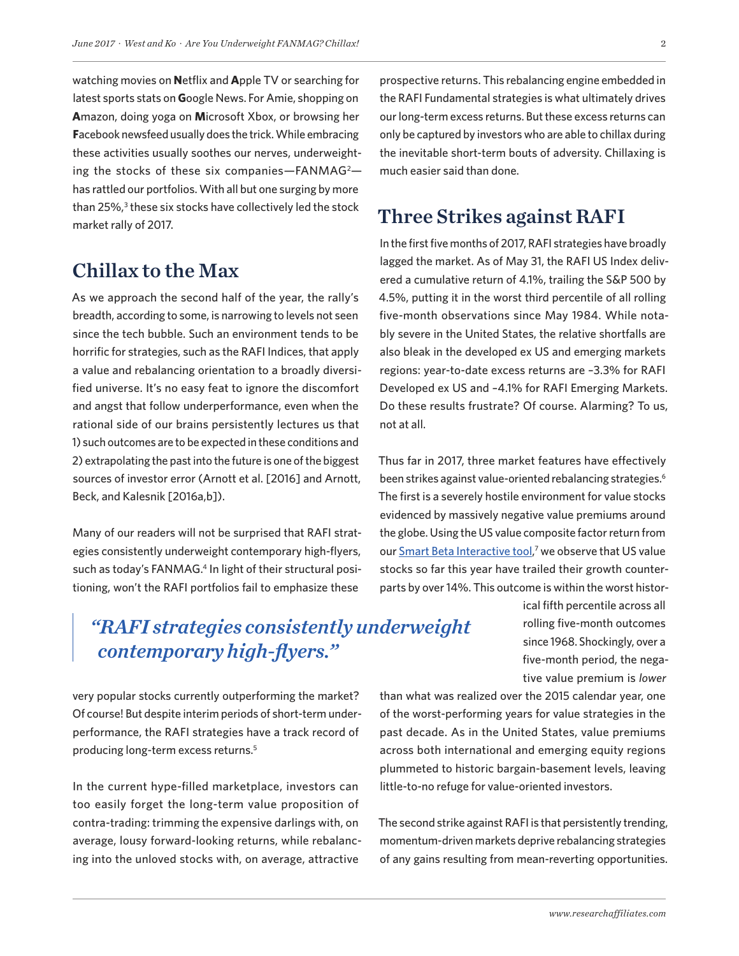watching movies on **N**etflix and **A**pple TV or searching for latest sports stats on **G**oogle News. For Amie, shopping on **A**mazon, doing yoga on **M**icrosoft Xbox, or browsing her **F**acebook newsfeed usually does the trick. While embracing these activities usually soothes our nerves, underweighting the stocks of these six companies-FANMAG<sup>2</sup>has rattled our portfolios. With all but one surging by more than 25%,<sup>3</sup> these six stocks have collectively led the stock market rally of 2017.

### Chillax to the Max

As we approach the second half of the year, the rally's breadth, according to some, is narrowing to levels not seen since the tech bubble. Such an environment tends to be horrific for strategies, such as the RAFI Indices, that apply a value and rebalancing orientation to a broadly diversified universe. It's no easy feat to ignore the discomfort and angst that follow underperformance, even when the rational side of our brains persistently lectures us that 1) such outcomes are to be expected in these conditions and 2) extrapolating the past into the future is one of the biggest sources of investor error (Arnott et al. [2016] and Arnott, Beck, and Kalesnik [2016a,b]).

Many of our readers will not be surprised that RAFI strategies consistently underweight contemporary high-flyers, such as today's FANMAG.<sup>4</sup> In light of their structural positioning, won't the RAFI portfolios fail to emphasize these

prospective returns. This rebalancing engine embedded in the RAFI Fundamental strategies is what ultimately drives our long-term excess returns. But these excess returns can only be captured by investors who are able to chillax during the inevitable short-term bouts of adversity. Chillaxing is much easier said than done.

# Three Strikes against RAFI

In the first five months of 2017, RAFI strategies have broadly lagged the market. As of May 31, the RAFI US Index delivered a cumulative return of 4.1%, trailing the S&P 500 by 4.5%, putting it in the worst third percentile of all rolling five-month observations since May 1984. While notably severe in the United States, the relative shortfalls are also bleak in the developed ex US and emerging markets regions: year-to-date excess returns are –3.3% for RAFI Developed ex US and –4.1% for RAFI Emerging Markets. Do these results frustrate? Of course. Alarming? To us, not at all.

Thus far in 2017, three market features have effectively been strikes against value-oriented rebalancing strategies.<sup>6</sup> The first is a severely hostile environment for value stocks evidenced by massively negative value premiums around the globe. Using the US value composite factor return from our **Smart Beta Interactive tool,7** we observe that US value stocks so far this year have trailed their growth counterparts by over 14%. This outcome is within the worst histor-

# *"RAFI strategies consistently underweight contemporary high-flyers."*

ical fifth percentile across all rolling five-month outcomes since 1968. Shockingly, over a five-month period, the negative value premium is *lower*

very popular stocks currently outperforming the market? Of course! But despite interim periods of short-term underperformance, the RAFI strategies have a track record of producing long-term excess returns.5

In the current hype-filled marketplace, investors can too easily forget the long-term value proposition of contra-trading: trimming the expensive darlings with, on average, lousy forward-looking returns, while rebalancing into the unloved stocks with, on average, attractive

than what was realized over the 2015 calendar year, one of the worst-performing years for value strategies in the past decade. As in the United States, value premiums across both international and emerging equity regions plummeted to historic bargain-basement levels, leaving little-to-no refuge for value-oriented investors.

The second strike against RAFI is that persistently trending, momentum-driven markets deprive rebalancing strategies of any gains resulting from mean-reverting opportunities.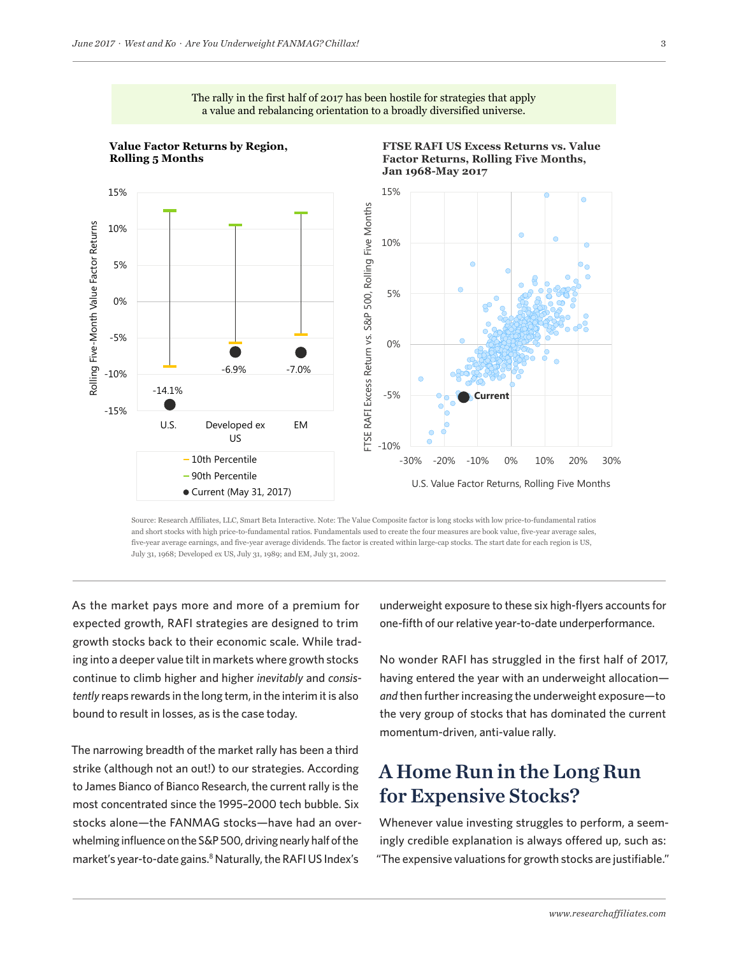



Source: Research Affiliates, LLC, Smart Beta Interactive. Note: The Value Composite factor is long stocks with low price-to-fundamental ratios and short stocks with high price-to-fundamental ratios. Fundamentals used to create the four measures are book value, five-year average sales, five-year average earnings, and five-year average dividends. The factor is created within large-cap stocks. The start date for each region is US, July 31, 1968; Developed ex US, July 31, 1989; and EM, July 31, 2002.

As the market pays more and more of a premium for expected growth, RAFI strategies are designed to trim growth stocks back to their economic scale. While trading into a deeper value tilt in markets where growth stocks continue to climb higher and higher *inevitably* and *consistently* reaps rewards in the long term, in the interim it is also bound to result in losses, as is the case today.

The narrowing breadth of the market rally has been a third strike (although not an out!) to our strategies. According to James Bianco of Bianco Research, the current rally is the most concentrated since the 1995–2000 tech bubble. Six stocks alone—the FANMAG stocks—have had an overwhelming influence on the S&P 500, driving nearly half of the market's year-to-date gains.<sup>8</sup> Naturally, the RAFIUS Index's

underweight exposure to these six high-flyers accounts for one-fifth of our relative year-to-date underperformance.

No wonder RAFI has struggled in the first half of 2017, having entered the year with an underweight allocation *and* then further increasing the underweight exposure—to the very group of stocks that has dominated the current momentum-driven, anti-value rally.

# A Home Run in the Long Run for Expensive Stocks?

Whenever value investing struggles to perform, a seemingly credible explanation is always offered up, such as: "The expensive valuations for growth stocks are justifiable."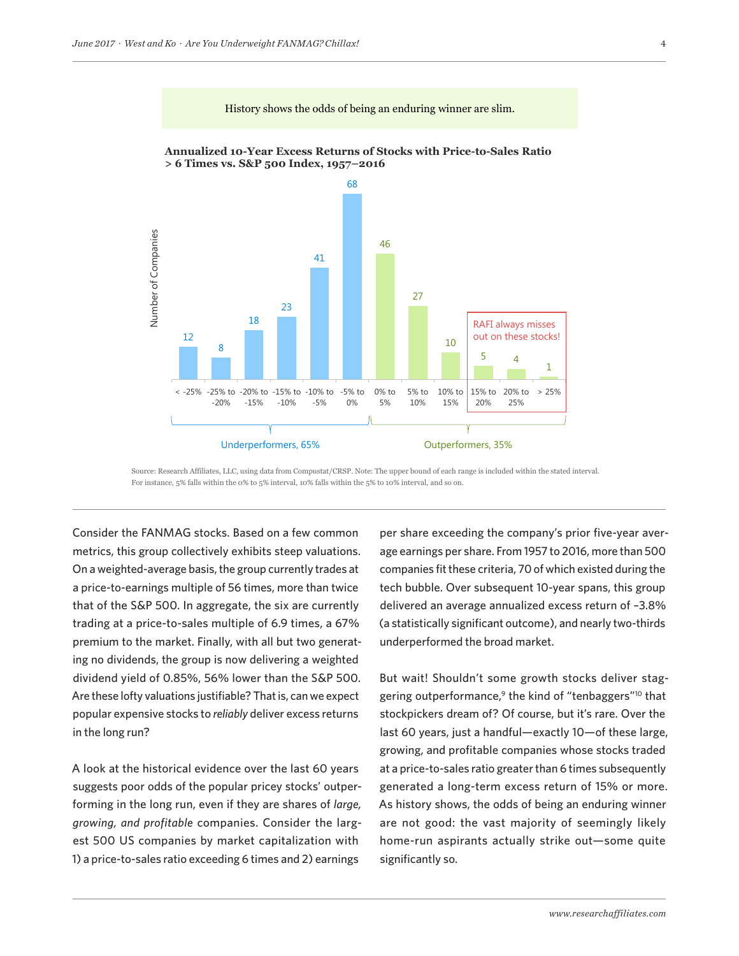

Source: Research Affiliates, LLC, using data from Compustat/CRSP. Note: The upper bound of each range is included within the stated interval. For instance, 5% falls within the 0% to 5% interval, 10% falls within the 5% to 10% interval, and so on.

ww.researchaffiliates.com, which are fully incorporated by reference as if set out herein at length.

Consider the FANMAG stocks. Based on a few common metrics, this group collectively exhibits steep valuations. On a weighted-average basis, the group currently trades at a price-to-earnings multiple of 56 times, more than twice that of the S&P 500. In aggregate, the six are currently trading at a price-to-sales multiple of 6.9 times, a 67% premium to the market. Finally, with all but two generating no dividends, the group is now delivering a weighted dividend yield of 0.85%, 56% lower than the S&P 500. Are these lofty valuations justifiable? That is, can we expect popular expensive stocks to *reliably* deliver excess returns in the long run?

A look at the historical evidence over the last 60 years suggests poor odds of the popular pricey stocks' outperforming in the long run, even if they are shares of *large, growing, and profitable* companies. Consider the largest 500 US companies by market capitalization with 1) a price-to-sales ratio exceeding 6 times and 2) earnings

per share exceeding the company's prior five-year average earnings per share. From 1957 to 2016, more than 500 companies fit these criteria, 70 of which existed during the tech bubble. Over subsequent 10-year spans, this group delivered an average annualized excess return of –3.8% (a statistically significant outcome), and nearly two-thirds underperformed the broad market.

But wait! Shouldn't some growth stocks deliver staggering outperformance,<sup>9</sup> the kind of "tenbaggers"<sup>10</sup> that stockpickers dream of? Of course, but it's rare. Over the last 60 years, just a handful—exactly 10—of these large, growing, and profitable companies whose stocks traded at a price-to-sales ratio greater than 6 times subsequently generated a long-term excess return of 15% or more. As history shows, the odds of being an enduring winner are not good: the vast majority of seemingly likely home-run aspirants actually strike out—some quite significantly so.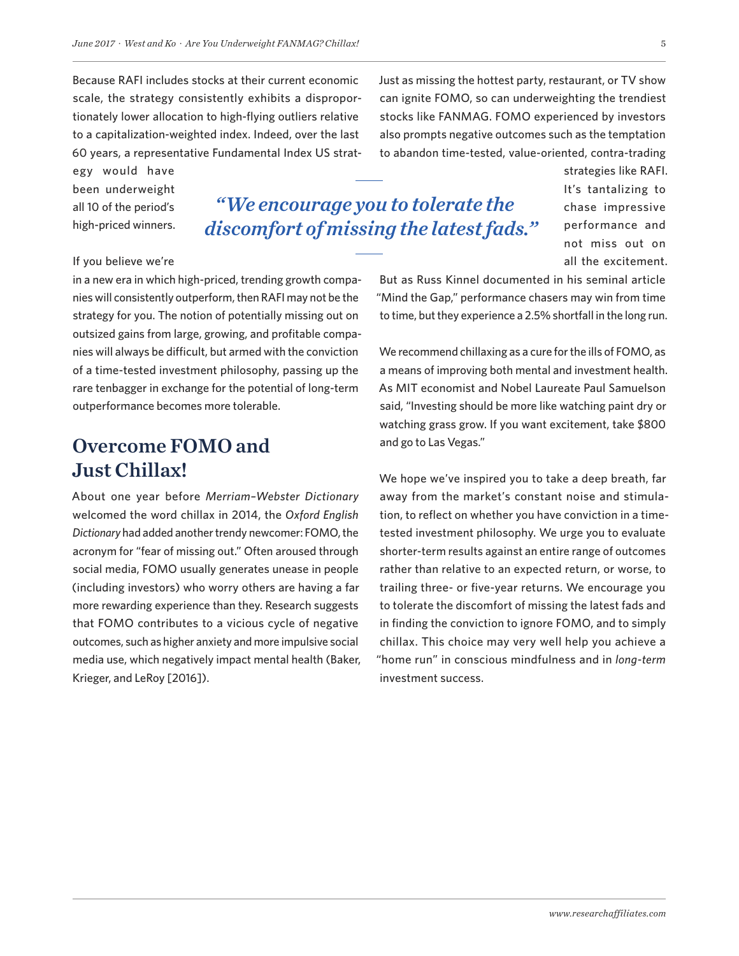60 years, a representative Fundamental Index US strat-

Because RAFI includes stocks at their current economic scale, the strategy consistently exhibits a disproportionately lower allocation to high-flying outliers relative to a capitalization-weighted index. Indeed, over the last

egy would have been underweight all 10 of the period's high-priced winners.

# *"We encourage you to tolerate the discomfort of missing the latest fads."*

### If you believe we're

in a new era in which high-priced, trending growth companies will consistently outperform, then RAFI may not be the strategy for you. The notion of potentially missing out on outsized gains from large, growing, and profitable companies will always be difficult, but armed with the conviction of a time-tested investment philosophy, passing up the rare tenbagger in exchange for the potential of long-term outperformance becomes more tolerable.

# Overcome FOMO and Just Chillax!

About one year before *Merriam–Webster Dictionary* welcomed the word chillax in 2014, the *Oxford English Dictionary* had added another trendy newcomer: FOMO, the acronym for "fear of missing out." Often aroused through social media, FOMO usually generates unease in people (including investors) who worry others are having a far more rewarding experience than they. Research suggests that FOMO contributes to a vicious cycle of negative outcomes, such as higher anxiety and more impulsive social media use, which negatively impact mental health (Baker, Krieger, and LeRoy [2016]).

Just as missing the hottest party, restaurant, or TV show can ignite FOMO, so can underweighting the trendiest stocks like FANMAG. FOMO experienced by investors also prompts negative outcomes such as the temptation to abandon time-tested, value-oriented, contra-trading

> strategies like RAFI. It's tantalizing to chase impressive performance and not miss out on all the excitement.

But as Russ Kinnel documented in his seminal article "Mind the Gap," performance chasers may win from time to time, but they experience a 2.5% shortfall in the long run.

We recommend chillaxing as a cure for the ills of FOMO, as a means of improving both mental and investment health. As MIT economist and Nobel Laureate Paul Samuelson said, "Investing should be more like watching paint dry or watching grass grow. If you want excitement, take \$800 and go to Las Vegas."

We hope we've inspired you to take a deep breath, far away from the market's constant noise and stimulation, to reflect on whether you have conviction in a timetested investment philosophy. We urge you to evaluate shorter-term results against an entire range of outcomes rather than relative to an expected return, or worse, to trailing three- or five-year returns. We encourage you to tolerate the discomfort of missing the latest fads and in finding the conviction to ignore FOMO, and to simply chillax. This choice may very well help you achieve a "home run" in conscious mindfulness and in *long-term*  investment success.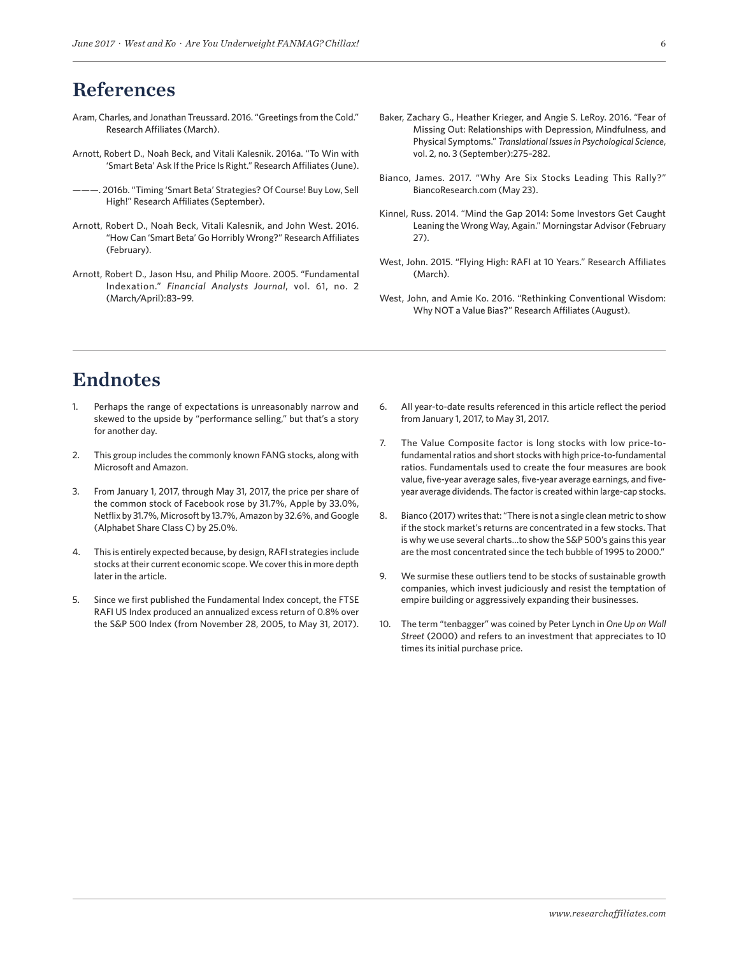# References

- [Aram, Charles, and Jonathan Treussard. 2016. "Greetings from the Cold."](https://www.researchaffiliates.com/en_us/publications/articles/527_greetings_from_the_cold.html)  [Research Affiliates \(March\).](https://www.researchaffiliates.com/en_us/publications/articles/527_greetings_from_the_cold.html)
- [Arnott, Robert D., Noah Beck, and Vitali Kalesnik. 2016a. "To Win with](https://www.researchaffiliates.com/en_us/publications/articles/540_to_win_with_smart_beta_ask_if_the_price_is_right.html)  ['Smart Beta' Ask If the Price Is Right." Research Affiliates \(June\).](https://www.researchaffiliates.com/en_us/publications/articles/540_to_win_with_smart_beta_ask_if_the_price_is_right.html)
- [———. 2016b. "Timing 'Smart Beta' Strategies? Of Course! Buy Low, Sell](https://www.researchaffiliates.com/content/ra/na/en_us/publications/articles/541_timing_smart_beta_strategies_of_course_buy_low_sell_high.html)  [High!" Research Affiliates \(September\).](https://www.researchaffiliates.com/content/ra/na/en_us/publications/articles/541_timing_smart_beta_strategies_of_course_buy_low_sell_high.html)
- [Arnott, Robert D., Noah Beck, Vitali Kalesnik, and John West. 2016.](https://www.researchaffiliates.com/content/ra/na/en_us/publications/articles/541_timing_smart_beta_strategies_of_course_buy_low_sell_high.html)  ["How Can 'Smart Beta' Go Horribly Wrong?" Research Affiliates](https://www.researchaffiliates.com/content/ra/na/en_us/publications/articles/541_timing_smart_beta_strategies_of_course_buy_low_sell_high.html)  [\(February\).](https://www.researchaffiliates.com/content/ra/na/en_us/publications/articles/541_timing_smart_beta_strategies_of_course_buy_low_sell_high.html)
- Arnott, Robert D., Jason Hsu, and Philip Moore. 2005. "Fundamental Indexation." *Financial Analysts Journal*, vol. 61, no. 2 (March/April):83–99.
- Baker, Zachary G., Heather Krieger, and Angie S. LeRoy. 2016. "Fear of Missing Out: Relationships with Depression, Mindfulness, and Physical Symptoms." *Translational Issues in Psychological Science*, vol. 2, no. 3 (September):275–282.
- Bianco, James. 2017. "Why Are Six Stocks Leading This Rally?" BiancoResearch.com (May 23).
- Kinnel, Russ. 2014. "Mind the Gap 2014: Some Investors Get Caught Leaning the Wrong Way, Again." Morningstar Advisor (February 27).
- [West, John. 2015. "Flying High: RAFI at 10 Years." Research Affiliates](https://www.researchaffiliates.com/en_us/publications/articles/339_flying_high_rafi_at_10_years.html)  [\(March\).](https://www.researchaffiliates.com/en_us/publications/articles/339_flying_high_rafi_at_10_years.html)
- [West, John, and Amie Ko. 2016. "Rethinking Conventional Wisdom:](https://www.researchaffiliates.com/en_us/publications/articles/560_rethinking_conventional_wisdom_why_not_a_value_bias.html)  [Why NOT a Value Bias?" Research Affiliates \(August\).](https://www.researchaffiliates.com/en_us/publications/articles/560_rethinking_conventional_wisdom_why_not_a_value_bias.html)

# Endnotes

- 1. Perhaps the range of expectations is unreasonably narrow and skewed to the upside by "performance selling," but that's a story for another day.
- 2. This group includes the commonly known FANG stocks, along with Microsoft and Amazon.
- 3. From January 1, 2017, through May 31, 2017, the price per share of the common stock of Facebook rose by 31.7%, Apple by 33.0%, Netflix by 31.7%, Microsoft by 13.7%, Amazon by 32.6%, and Google (Alphabet Share Class C) by 25.0%.
- 4. This is entirely expected because, by design, RAFI strategies include stocks at their current economic scope. We cover this in more depth later in the article.
- 5. Since we first published the Fundamental Index concept, the FTSE RAFI US Index produced an annualized excess return of 0.8% over the S&P 500 Index (from November 28, 2005, to May 31, 2017).
- 6. All year-to-date results referenced in this article reflect the period from January 1, 2017, to May 31, 2017.
- 7. The Value Composite factor is long stocks with low price-tofundamental ratios and short stocks with high price-to-fundamental ratios. Fundamentals used to create the four measures are book value, five-year average sales, five-year average earnings, and fiveyear average dividends. The factor is created within large-cap stocks.
- 8. Bianco (2017) writes that: "There is not a single clean metric to show if the stock market's returns are concentrated in a few stocks. That is why we use several charts…to show the S&P 500's gains this year are the most concentrated since the tech bubble of 1995 to 2000."
- 9. We surmise these outliers tend to be stocks of sustainable growth companies, which invest judiciously and resist the temptation of empire building or aggressively expanding their businesses.
- 10. The term "tenbagger" was coined by Peter Lynch in *One Up on Wall Street* (2000) and refers to an investment that appreciates to 10 times its initial purchase price.